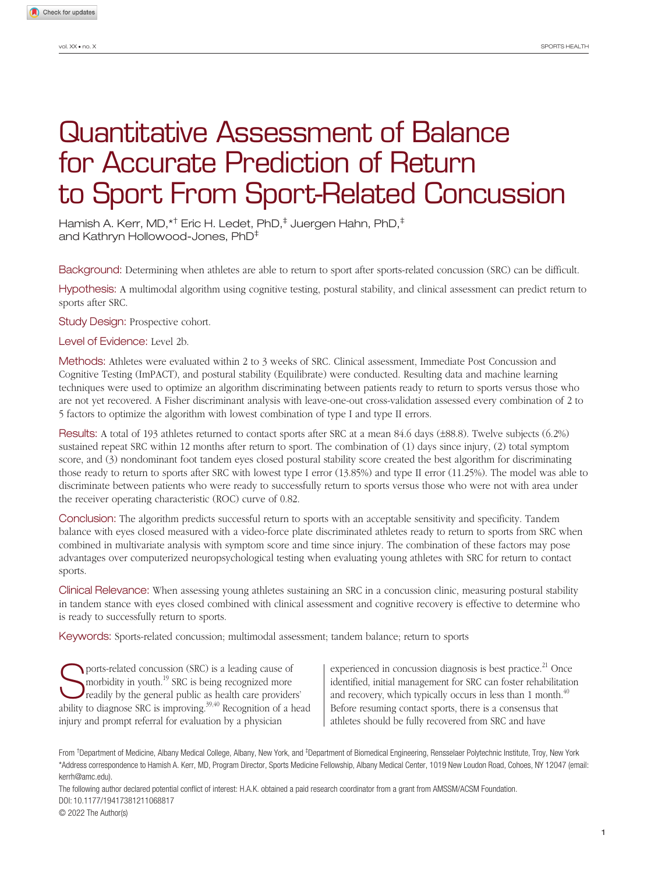# Quantitative Assessment of Balance for Accurate Prediction of Return to Sport From Sport-Related Concussion

Hamish A. Kerr, MD,\*† Eric H. Ledet, PhD,<sup>‡</sup> Juergen Hahn, PhD,<sup>‡</sup> and Kathryn Hollowood-Jones, PhD‡

Background: Determining when athletes are able to return to sport after sports-related concussion (SRC) can be difficult.

Hypothesis: A multimodal algorithm using cognitive testing, postural stability, and clinical assessment can predict return to sports after SRC.

Study Design: Prospective cohort.

Level of Evidence: Level 2b.

Methods: Athletes were evaluated within 2 to 3 weeks of SRC. Clinical assessment, Immediate Post Concussion and Cognitive Testing (ImPACT), and postural stability (Equilibrate) were conducted. Resulting data and machine learning techniques were used to optimize an algorithm discriminating between patients ready to return to sports versus those who are not yet recovered. A Fisher discriminant analysis with leave-one-out cross-validation assessed every combination of 2 to 5 factors to optimize the algorithm with lowest combination of type I and type II errors.

Results: A total of 193 athletes returned to contact sports after SRC at a mean 84.6 days (±88.8). Twelve subjects (6.2%) sustained repeat SRC within 12 months after return to sport. The combination of (1) days since injury, (2) total symptom score, and (3) nondominant foot tandem eyes closed postural stability score created the best algorithm for discriminating those ready to return to sports after SRC with lowest type I error (13.85%) and type II error (11.25%). The model was able to discriminate between patients who were ready to successfully return to sports versus those who were not with area under the receiver operating characteristic (ROC) curve of 0.82.

Conclusion: The algorithm predicts successful return to sports with an acceptable sensitivity and specificity. Tandem balance with eyes closed measured with a video-force plate discriminated athletes ready to return to sports from SRC when combined in multivariate analysis with symptom score and time since injury. The combination of these factors may pose advantages over computerized neuropsychological testing when evaluating young athletes with SRC for return to contact sports.

Clinical Relevance: When assessing young athletes sustaining an SRC in a concussion clinic, measuring postural stability in tandem stance with eyes closed combined with clinical assessment and cognitive recovery is effective to determine who is ready to successfully return to sports.

Keywords: Sports-related concussion; multimodal assessment; tandem balance; return to sports

**Sports-related concussion (SRC) is a leading cause of** morbidity in youth.<sup>19</sup> SRC is being recognized more readily by the general public as health care providers' morbidity in youth.<sup>19</sup> SRC is being recognized more ability to diagnose SRC is improving.<sup>39,40</sup> Recognition of a head injury and prompt referral for evaluation by a physician

experienced in concussion diagnosis is best practice.<sup>21</sup> Once identified, initial management for SRC can foster rehabilitation and recovery, which typically occurs in less than 1 month. $40$ Before resuming contact sports, there is a consensus that athletes should be fully recovered from SRC and have

From <sup>†</sup>Department of Medicine, Albany Medical College, Albany, New York, and <sup>‡</sup>Department of Biomedical Engineering, Rensselaer Polytechnic Institute, Troy, New York \*Address correspondence to Hamish A. Kerr, MD, Program Director, Sports Medicine Fellowship, Albany Medical Center, 1019 New Loudon Road, Cohoes, NY 12047 (email: kerrh@amc.edu).

The following author declared potential conflict of interest: H.A.K. obtained a paid research coordinator from a grant from AMSSM/ACSM Foundation. DOI: 10.1177/19417381211068817

© 2022 The Author(s)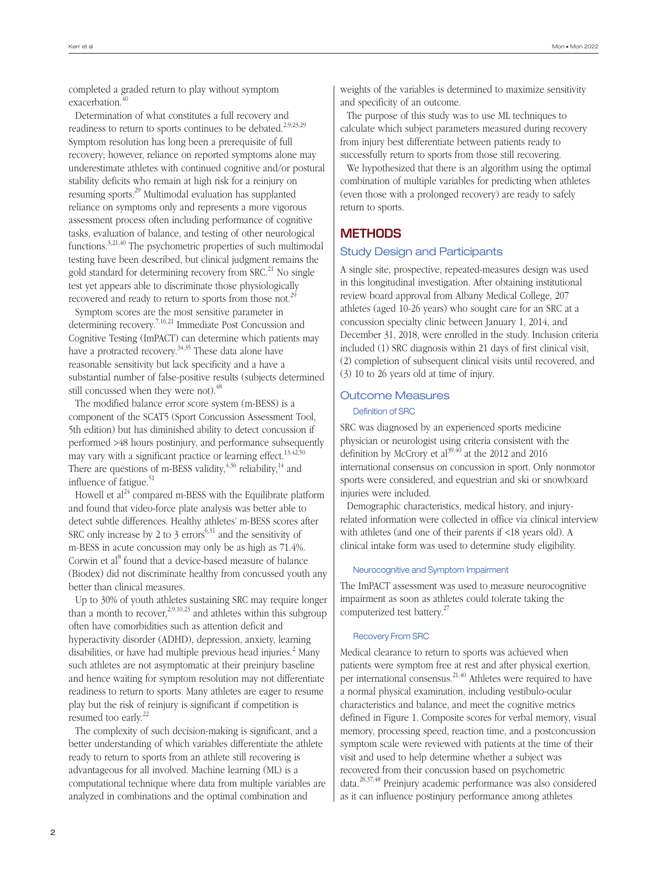completed a graded return to play without symptom exacerbation.<sup>40</sup>

Determination of what constitutes a full recovery and readiness to return to sports continues to be debated.<sup>2,9,23,29</sup> Symptom resolution has long been a prerequisite of full recovery; however, reliance on reported symptoms alone may underestimate athletes with continued cognitive and/or postural stability deficits who remain at high risk for a reinjury on resuming sports.29 Multimodal evaluation has supplanted reliance on symptoms only and represents a more vigorous assessment process often including performance of cognitive tasks, evaluation of balance, and testing of other neurological functions.3,21,40 The psychometric properties of such multimodal testing have been described, but clinical judgment remains the gold standard for determining recovery from SRC.<sup>21</sup> No single test yet appears able to discriminate those physiologically recovered and ready to return to sports from those not.<sup>29</sup>

Symptom scores are the most sensitive parameter in determining recovery.7,16,21 Immediate Post Concussion and Cognitive Testing (ImPACT) can determine which patients may have a protracted recovery.<sup>34,35</sup> These data alone have reasonable sensitivity but lack specificity and a have a substantial number of false-positive results (subjects determined still concussed when they were not).<sup>48</sup>

The modified balance error score system (m-BESS) is a component of the SCAT5 (Sport Concussion Assessment Tool, 5th edition) but has diminished ability to detect concussion if performed >48 hours postinjury, and performance subsequently may vary with a significant practice or learning effect.<sup>13,42,50</sup> There are questions of m-BESS validity,  $4,36$  reliability,  $14$  and influence of fatigue.<sup>51</sup>

Howell et  $al^{24}$  compared m-BESS with the Equilibrate platform and found that video-force plate analysis was better able to detect subtle differences. Healthy athletes' m-BESS scores after SRC only increase by 2 to 3 errors<sup> $6,31$ </sup> and the sensitivity of m-BESS in acute concussion may only be as high as 71.4%. Corwin et al<sup>8</sup> found that a device-based measure of balance (Biodex) did not discriminate healthy from concussed youth any better than clinical measures.

Up to 30% of youth athletes sustaining SRC may require longer than a month to recover,  $2,9,10,23$  and athletes within this subgroup often have comorbidities such as attention deficit and hyperactivity disorder (ADHD), depression, anxiety, learning disabilities, or have had multiple previous head injuries.<sup>2</sup> Many such athletes are not asymptomatic at their preinjury baseline and hence waiting for symptom resolution may not differentiate readiness to return to sports. Many athletes are eager to resume play but the risk of reinjury is significant if competition is resumed too early.<sup>22</sup>

The complexity of such decision-making is significant, and a better understanding of which variables differentiate the athlete ready to return to sports from an athlete still recovering is advantageous for all involved. Machine learning (ML) is a computational technique where data from multiple variables are analyzed in combinations and the optimal combination and

weights of the variables is determined to maximize sensitivity and specificity of an outcome.

The purpose of this study was to use ML techniques to calculate which subject parameters measured during recovery from injury best differentiate between patients ready to successfully return to sports from those still recovering.

We hypothesized that there is an algorithm using the optimal combination of multiple variables for predicting when athletes (even those with a prolonged recovery) are ready to safely return to sports.

# **METHODS**

# Study Design and Participants

A single site, prospective, repeated-measures design was used in this longitudinal investigation. After obtaining institutional review board approval from Albany Medical College, 207 athletes (aged 10-26 years) who sought care for an SRC at a concussion specialty clinic between January 1, 2014, and December 31, 2018, were enrolled in the study. Inclusion criteria included (1) SRC diagnosis within 21 days of first clinical visit, (2) completion of subsequent clinical visits until recovered, and (3) 10 to 26 years old at time of injury.

# Outcome Measures

## Definition of SRC

SRC was diagnosed by an experienced sports medicine physician or neurologist using criteria consistent with the definition by McCrory et al<sup>39,40</sup> at the 2012 and 2016 international consensus on concussion in sport. Only nonmotor sports were considered, and equestrian and ski or snowboard injuries were included.

Demographic characteristics, medical history, and injuryrelated information were collected in office via clinical interview with athletes (and one of their parents if <18 years old). A clinical intake form was used to determine study eligibility.

## Neurocognitive and Symptom Impairment

The ImPACT assessment was used to measure neurocognitive impairment as soon as athletes could tolerate taking the computerized test battery.<sup>27</sup>

# Recovery From SRC

Medical clearance to return to sports was achieved when patients were symptom free at rest and after physical exertion, per international consensus.21,40 Athletes were required to have a normal physical examination, including vestibulo-ocular characteristics and balance, and meet the cognitive metrics defined in Figure 1. Composite scores for verbal memory, visual memory, processing speed, reaction time, and a postconcussion symptom scale were reviewed with patients at the time of their visit and used to help determine whether a subject was recovered from their concussion based on psychometric data.28,37,48 Preinjury academic performance was also considered as it can influence postinjury performance among athletes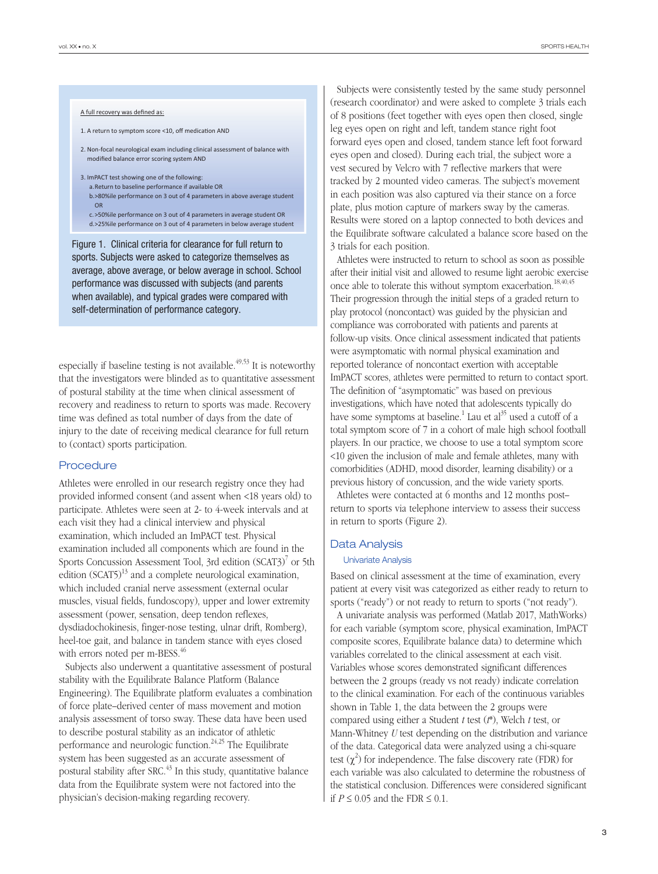#### A full recovery was defined as:

- 1. A return to symptom score <10, off medication AND
- 2. Non-focal neurological exam including clinical assessment of balance with modified balance error scoring system AND
- 3. ImPACT test showing one of the following:
- a.Return to baseline performance if available OR b.>80%ile performance on 3 out of 4 parameters in above average student
- OR c. >50%ile performance on 3 out of 4 parameters in average student OR
- d.>25%ile performance on 3 out of 4 parameters in below average student

Figure 1. Clinical criteria for clearance for full return to sports. Subjects were asked to categorize themselves as average, above average, or below average in school. School performance was discussed with subjects (and parents when available), and typical grades were compared with self-determination of performance category.

especially if baseline testing is not available.<sup> $49,53$ </sup> It is noteworthy that the investigators were blinded as to quantitative assessment of postural stability at the time when clinical assessment of recovery and readiness to return to sports was made. Recovery time was defined as total number of days from the date of injury to the date of receiving medical clearance for full return to (contact) sports participation.

#### **Procedure**

Athletes were enrolled in our research registry once they had provided informed consent (and assent when <18 years old) to participate. Athletes were seen at 2- to 4-week intervals and at each visit they had a clinical interview and physical examination, which included an ImPACT test. Physical examination included all components which are found in the Sports Concussion Assessment Tool, 3rd edition (SCAT3)<sup>7</sup> or 5th edition  $(SCAT5)^{13}$  and a complete neurological examination, which included cranial nerve assessment (external ocular muscles, visual fields, fundoscopy), upper and lower extremity assessment (power, sensation, deep tendon reflexes, dysdiadochokinesis, finger-nose testing, ulnar drift, Romberg), heel-toe gait, and balance in tandem stance with eyes closed with errors noted per m-BESS.<sup>46</sup>

Subjects also underwent a quantitative assessment of postural stability with the Equilibrate Balance Platform (Balance Engineering). The Equilibrate platform evaluates a combination of force plate–derived center of mass movement and motion analysis assessment of torso sway. These data have been used to describe postural stability as an indicator of athletic performance and neurologic function.<sup>24,25</sup> The Equilibrate system has been suggested as an accurate assessment of postural stability after  $SRC<sup>43</sup>$  In this study, quantitative balance data from the Equilibrate system were not factored into the physician's decision-making regarding recovery.

Subjects were consistently tested by the same study personnel (research coordinator) and were asked to complete 3 trials each of 8 positions (feet together with eyes open then closed, single leg eyes open on right and left, tandem stance right foot forward eyes open and closed, tandem stance left foot forward eyes open and closed). During each trial, the subject wore a vest secured by Velcro with 7 reflective markers that were tracked by 2 mounted video cameras. The subject's movement in each position was also captured via their stance on a force plate, plus motion capture of markers sway by the cameras. Results were stored on a laptop connected to both devices and the Equilibrate software calculated a balance score based on the 3 trials for each position.

Athletes were instructed to return to school as soon as possible after their initial visit and allowed to resume light aerobic exercise once able to tolerate this without symptom exacerbation.<sup>18,40,45</sup> Their progression through the initial steps of a graded return to play protocol (noncontact) was guided by the physician and compliance was corroborated with patients and parents at follow-up visits. Once clinical assessment indicated that patients were asymptomatic with normal physical examination and reported tolerance of noncontact exertion with acceptable ImPACT scores, athletes were permitted to return to contact sport. The definition of "asymptomatic" was based on previous investigations, which have noted that adolescents typically do have some symptoms at baseline.<sup>1</sup> Lau et  $al^{35}$  used a cutoff of a total symptom score of 7 in a cohort of male high school football players. In our practice, we choose to use a total symptom score <10 given the inclusion of male and female athletes, many with comorbidities (ADHD, mood disorder, learning disability) or a previous history of concussion, and the wide variety sports.

Athletes were contacted at 6 months and 12 months post– return to sports via telephone interview to assess their success in return to sports (Figure 2).

#### Data Analysis

#### Univariate Analysis

Based on clinical assessment at the time of examination, every patient at every visit was categorized as either ready to return to sports ("ready") or not ready to return to sports ("not ready").

A univariate analysis was performed (Matlab 2017, MathWorks) for each variable (symptom score, physical examination, ImPACT composite scores, Equilibrate balance data) to determine which variables correlated to the clinical assessment at each visit. Variables whose scores demonstrated significant differences between the 2 groups (ready vs not ready) indicate correlation to the clinical examination. For each of the continuous variables shown in Table 1, the data between the 2 groups were compared using either a Student *t* test (*t*\*), Welch *t* test, or Mann-Whitney *U* test depending on the distribution and variance of the data. Categorical data were analyzed using a chi-square test  $(\chi^2)$  for independence. The false discovery rate (FDR) for each variable was also calculated to determine the robustness of the statistical conclusion. Differences were considered significant if  $P \le 0.05$  and the FDR  $\le 0.1$ .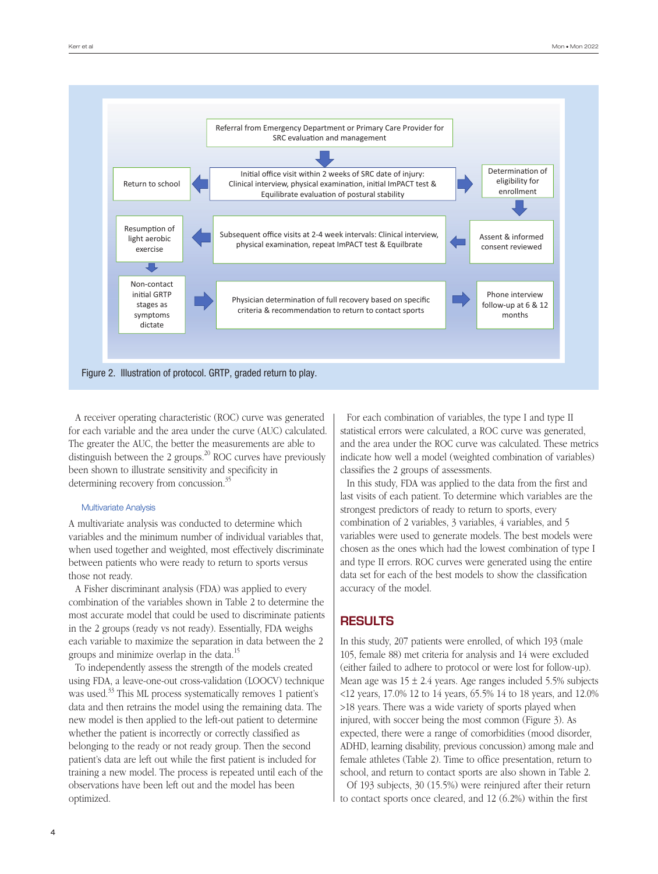

A receiver operating characteristic (ROC) curve was generated for each variable and the area under the curve (AUC) calculated. The greater the AUC, the better the measurements are able to distinguish between the 2 groups. $20$  ROC curves have previously been shown to illustrate sensitivity and specificity in determining recovery from concussion.<sup>35</sup>

#### Multivariate Analysis

A multivariate analysis was conducted to determine which variables and the minimum number of individual variables that, when used together and weighted, most effectively discriminate between patients who were ready to return to sports versus those not ready.

A Fisher discriminant analysis (FDA) was applied to every combination of the variables shown in Table 2 to determine the most accurate model that could be used to discriminate patients in the 2 groups (ready vs not ready). Essentially, FDA weighs each variable to maximize the separation in data between the 2 groups and minimize overlap in the data.15

To independently assess the strength of the models created using FDA, a leave-one-out cross-validation (LOOCV) technique was used.<sup>33</sup> This ML process systematically removes 1 patient's data and then retrains the model using the remaining data. The new model is then applied to the left-out patient to determine whether the patient is incorrectly or correctly classified as belonging to the ready or not ready group. Then the second patient's data are left out while the first patient is included for training a new model. The process is repeated until each of the observations have been left out and the model has been optimized.

For each combination of variables, the type I and type II statistical errors were calculated, a ROC curve was generated, and the area under the ROC curve was calculated. These metrics indicate how well a model (weighted combination of variables) classifies the 2 groups of assessments.

In this study, FDA was applied to the data from the first and last visits of each patient. To determine which variables are the strongest predictors of ready to return to sports, every combination of 2 variables, 3 variables, 4 variables, and 5 variables were used to generate models. The best models were chosen as the ones which had the lowest combination of type I and type II errors. ROC curves were generated using the entire data set for each of the best models to show the classification accuracy of the model.

# **RESULTS**

In this study, 207 patients were enrolled, of which 193 (male 105, female 88) met criteria for analysis and 14 were excluded (either failed to adhere to protocol or were lost for follow-up). Mean age was  $15 \pm 2.4$  years. Age ranges included 5.5% subjects <12 years, 17.0% 12 to 14 years, 65.5% 14 to 18 years, and 12.0% >18 years. There was a wide variety of sports played when injured, with soccer being the most common (Figure 3). As expected, there were a range of comorbidities (mood disorder, ADHD, learning disability, previous concussion) among male and female athletes (Table 2). Time to office presentation, return to school, and return to contact sports are also shown in Table 2.

Of 193 subjects, 30 (15.5%) were reinjured after their return to contact sports once cleared, and 12 (6.2%) within the first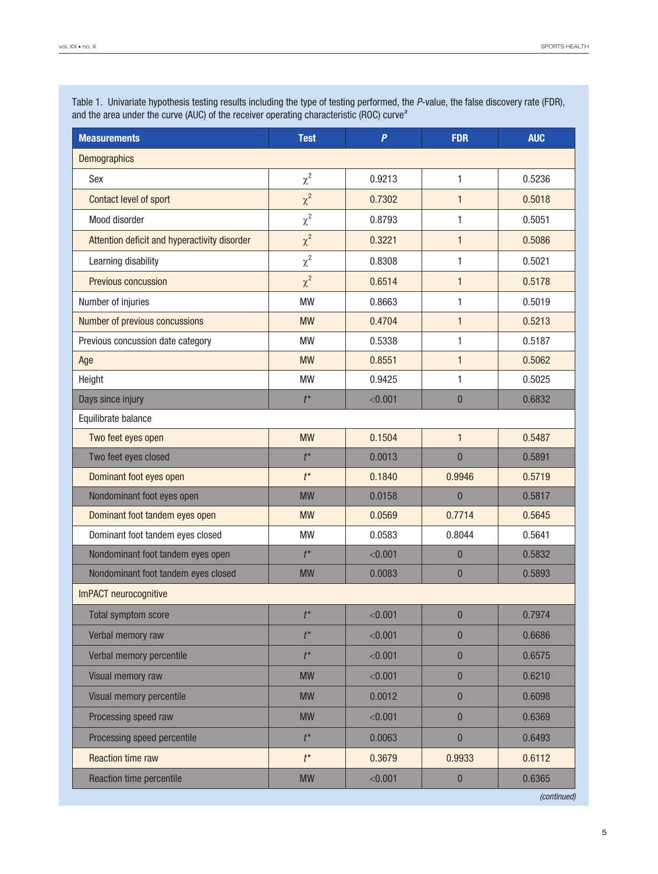| <b>Measurements</b>                          | <b>Test</b> | $\overline{P}$ | <b>FDR</b>       | <b>AUC</b>  |  |
|----------------------------------------------|-------------|----------------|------------------|-------------|--|
| Demographics                                 |             |                |                  |             |  |
| Sex                                          | $\chi^2$    | 0.9213         | 1                | 0.5236      |  |
| Contact level of sport                       | $\chi^2$    | 0.7302         | $\mathbf{1}$     | 0.5018      |  |
| Mood disorder                                | $\chi^2$    | 0.8793         | 1                | 0.5051      |  |
| Attention deficit and hyperactivity disorder | $\chi^2$    | 0.3221         | $\mathbf{1}$     | 0.5086      |  |
| Learning disability                          | $\chi^2$    | 0.8308         | 1                | 0.5021      |  |
| Previous concussion                          | $\chi^2$    | 0.6514         | $\mathbf{1}$     | 0.5178      |  |
| Number of injuries                           | <b>MW</b>   | 0.8663         | 1                | 0.5019      |  |
| Number of previous concussions               | <b>MW</b>   | 0.4704         | $\mathbf{1}$     | 0.5213      |  |
| Previous concussion date category            | <b>MW</b>   | 0.5338         | 1                | 0.5187      |  |
| Age                                          | <b>MW</b>   | 0.8551         | $\mathbf{1}$     | 0.5062      |  |
| Height                                       | <b>MW</b>   | 0.9425         | 1                | 0.5025      |  |
| Days since injury                            | $t^*$       | < 0.001        | $\overline{0}$   | 0.6832      |  |
| Equilibrate balance                          |             |                |                  |             |  |
| Two feet eyes open                           | <b>MW</b>   | 0.1504         | $\mathbf{1}$     | 0.5487      |  |
| Two feet eyes closed                         | $t^*$       | 0.0013         | $\overline{0}$   | 0.5891      |  |
| Dominant foot eyes open                      | $t^*$       | 0.1840         | 0.9946           | 0.5719      |  |
| Nondominant foot eyes open                   | <b>MW</b>   | 0.0158         | $\overline{0}$   | 0.5817      |  |
| Dominant foot tandem eyes open               | <b>MW</b>   | 0.0569         | 0.7714           | 0.5645      |  |
| Dominant foot tandem eyes closed             | <b>MW</b>   | 0.0583         | 0.8044           | 0.5641      |  |
| Nondominant foot tandem eyes open            | $t^*$       | < 0.001        | $\bf{0}$         | 0.5832      |  |
| Nondominant foot tandem eyes closed          | <b>MW</b>   | 0.0083         | $\overline{0}$   | 0.5893      |  |
| ImPACT neurocognitive                        |             |                |                  |             |  |
| <b>Total symptom score</b>                   | $t^*$       | < 0.001        | $\overline{0}$   | 0.7974      |  |
| Verbal memory raw                            | $t^*$       | < 0.001        | $\overline{0}$   | 0.6686      |  |
| Verbal memory percentile                     | $t^*$       | < 0.001        | $\boldsymbol{0}$ | 0.6575      |  |
| Visual memory raw                            | <b>MW</b>   | < 0.001        | $\bf{0}$         | 0.6210      |  |
| Visual memory percentile                     | <b>MW</b>   | 0.0012         | $\bf{0}$         | 0.6098      |  |
| Processing speed raw                         | <b>MW</b>   | < 0.001        | $\mathbf{0}$     | 0.6369      |  |
| Processing speed percentile                  | $t^*$       | 0.0063         | $\pmb{0}$        | 0.6493      |  |
| <b>Reaction time raw</b>                     | $t^*$       | 0.3679         | 0.9933           | 0.6112      |  |
| Reaction time percentile                     | <b>MW</b>   | < 0.001        | $\bf{0}$         | 0.6365      |  |
|                                              |             |                |                  | (continued) |  |

Table 1. Univariate hypothesis testing results including the type of testing performed, the *P*-value, the false discovery rate (FDR), and the area under the curve (AUC) of the receiver operating characteristic (ROC) curve*<sup>a</sup>*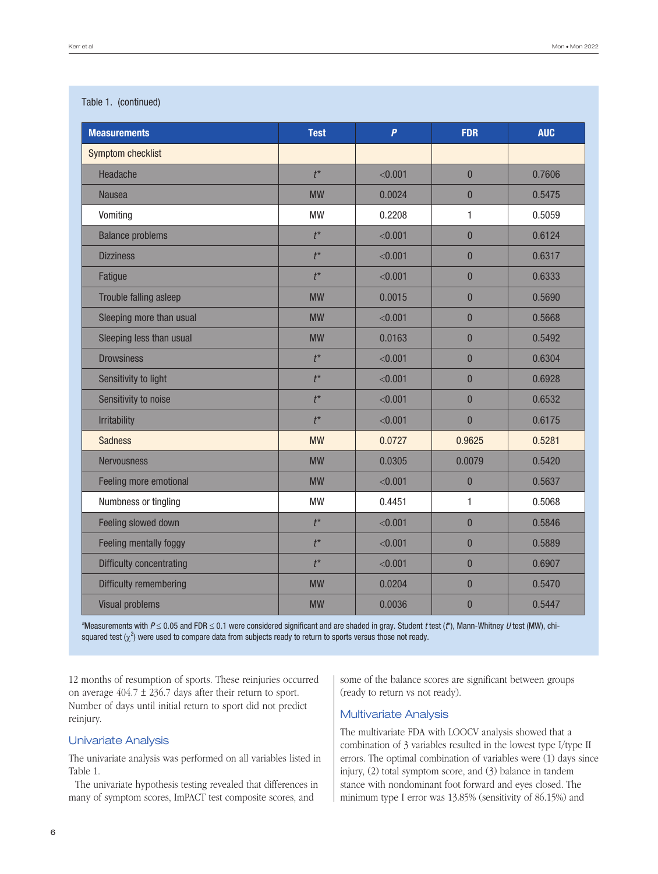## Table 1. (continued)

| <b>Measurements</b>             | <b>Test</b> | $\overline{P}$ | <b>FDR</b>     | <b>AUC</b> |
|---------------------------------|-------------|----------------|----------------|------------|
| Symptom checklist               |             |                |                |            |
| Headache                        | $t^*$       | < 0.001        | $\overline{0}$ | 0.7606     |
| <b>Nausea</b>                   | <b>MW</b>   | 0.0024         | $\overline{0}$ | 0.5475     |
| Vomiting                        | <b>MW</b>   | 0.2208         | $\mathbf{1}$   | 0.5059     |
| <b>Balance problems</b>         | $t^*$       | < 0.001        | $\overline{0}$ | 0.6124     |
| <b>Dizziness</b>                | $t^*$       | < 0.001        | $\overline{0}$ | 0.6317     |
| Fatigue                         | $t^*$       | < 0.001        | $\mathbf{0}$   | 0.6333     |
| Trouble falling asleep          | <b>MW</b>   | 0.0015         | $\mathbf{0}$   | 0.5690     |
| Sleeping more than usual        | <b>MW</b>   | < 0.001        | $\overline{0}$ | 0.5668     |
| Sleeping less than usual        | <b>MW</b>   | 0.0163         | $\overline{0}$ | 0.5492     |
| <b>Drowsiness</b>               | $t^*$       | < 0.001        | $\overline{0}$ | 0.6304     |
| Sensitivity to light            | $t^*$       | < 0.001        | $\overline{0}$ | 0.6928     |
| Sensitivity to noise            | $t^*$       | < 0.001        | $\mathbf{0}$   | 0.6532     |
| <b>Irritability</b>             | $t^*$       | < 0.001        | $\mathbf{0}$   | 0.6175     |
| <b>Sadness</b>                  | <b>MW</b>   | 0.0727         | 0.9625         | 0.5281     |
| <b>Nervousness</b>              | <b>MW</b>   | 0.0305         | 0.0079         | 0.5420     |
| Feeling more emotional          | <b>MW</b>   | < 0.001        | $\overline{0}$ | 0.5637     |
| Numbness or tingling            | <b>MW</b>   | 0.4451         | $\mathbf{1}$   | 0.5068     |
| Feeling slowed down             | $t^*$       | < 0.001        | $\overline{0}$ | 0.5846     |
| Feeling mentally foggy          | $t^*$       | < 0.001        | $\mathbf{0}$   | 0.5889     |
| <b>Difficulty concentrating</b> | $t^*$       | < 0.001        | $\mathbf{0}$   | 0.6907     |
| Difficulty remembering          | <b>MW</b>   | 0.0204         | $\mathbf{0}$   | 0.5470     |
| <b>Visual problems</b>          | <b>MW</b>   | 0.0036         | $\overline{0}$ | 0.5447     |

*a* Measurements with *P* ≤ 0.05 and FDR ≤ 0.1 were considered significant and are shaded in gray. Student *t* test (*t*\*), Mann-Whitney *U* test (MW), chisquared test ( $\chi^2$ ) were used to compare data from subjects ready to return to sports versus those not ready.

12 months of resumption of sports. These reinjuries occurred on average  $404.7 \pm 236.7$  days after their return to sport. Number of days until initial return to sport did not predict reinjury.

## Univariate Analysis

The univariate analysis was performed on all variables listed in Table 1.

The univariate hypothesis testing revealed that differences in many of symptom scores, ImPACT test composite scores, and

some of the balance scores are significant between groups (ready to return vs not ready).

# Multivariate Analysis

The multivariate FDA with LOOCV analysis showed that a combination of 3 variables resulted in the lowest type I/type II errors. The optimal combination of variables were (1) days since injury, (2) total symptom score, and (3) balance in tandem stance with nondominant foot forward and eyes closed. The minimum type I error was 13.85% (sensitivity of 86.15%) and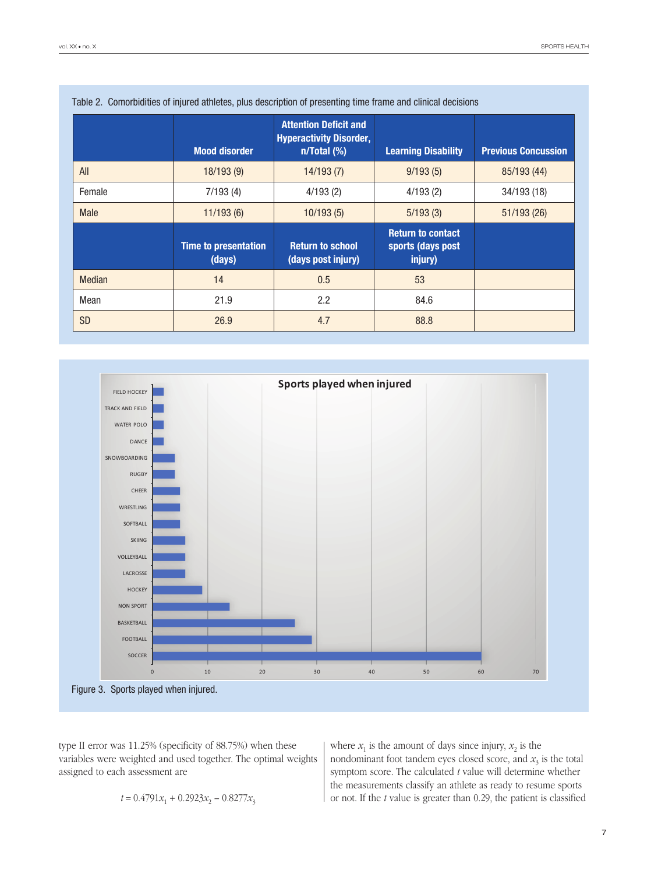|             | <b>Mood disorder</b>                  | <b>Attention Deficit and</b><br><b>Hyperactivity Disorder,</b><br>$n/Total$ (%) | <b>Learning Disability</b>                               | <b>Previous Concussion</b> |
|-------------|---------------------------------------|---------------------------------------------------------------------------------|----------------------------------------------------------|----------------------------|
| All         | 18/193(9)                             | 14/193(7)                                                                       | 9/193(5)                                                 | 85/193 (44)                |
| Female      | 7/193(4)                              | 4/193(2)                                                                        | 4/193(2)                                                 | 34/193 (18)                |
| <b>Male</b> | 11/193(6)                             | 10/193(5)                                                                       | 5/193(3)                                                 | 51/193(26)                 |
|             | <b>Time to presentation</b><br>(days) | <b>Return to school</b><br>(days post injury)                                   | <b>Return to contact</b><br>sports (days post<br>injury) |                            |
| Median      | 14                                    | 0.5                                                                             | 53                                                       |                            |
| Mean        | 21.9                                  | 2.2                                                                             | 84.6                                                     |                            |
| <b>SD</b>   | 26.9                                  | 4.7                                                                             | 88.8                                                     |                            |





type II error was 11.25% (specificity of 88.75%) when these variables were weighted and used together. The optimal weights assigned to each assessment are

$$
t = 0.4791x_1 + 0.2923x_2 - 0.8277x_3
$$

where  $x_1$  is the amount of days since injury,  $x_2$  is the nondominant foot tandem eyes closed score, and  $x_3$  is the total symptom score. The calculated *t* value will determine whether the measurements classify an athlete as ready to resume sports or not. If the *t* value is greater than 0.29, the patient is classified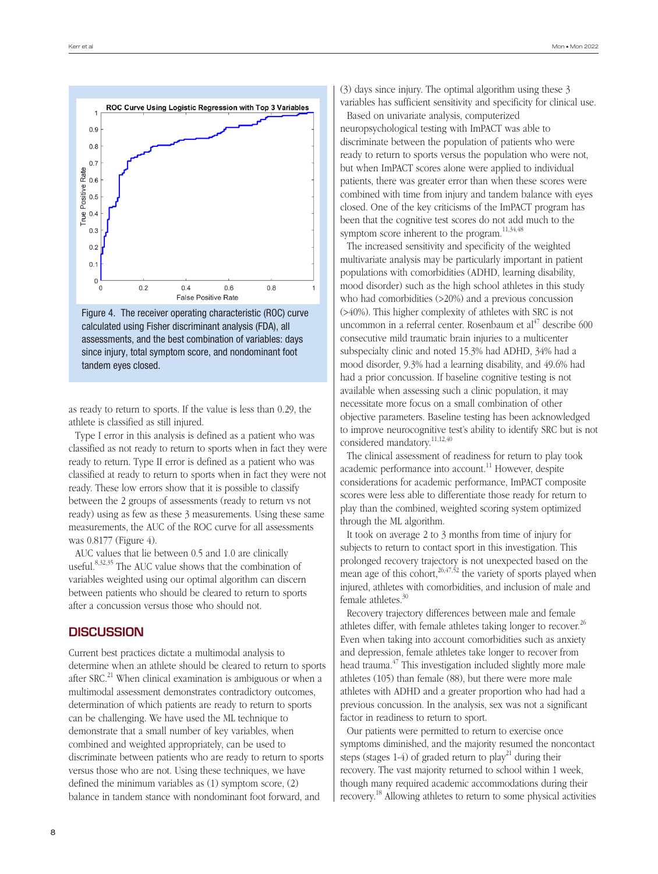



as ready to return to sports. If the value is less than 0.29, the athlete is classified as still injured.

Type I error in this analysis is defined as a patient who was classified as not ready to return to sports when in fact they were ready to return. Type II error is defined as a patient who was classified at ready to return to sports when in fact they were not ready. These low errors show that it is possible to classify between the 2 groups of assessments (ready to return vs not ready) using as few as these 3 measurements. Using these same measurements, the AUC of the ROC curve for all assessments was 0.8177 (Figure 4).

AUC values that lie between 0.5 and 1.0 are clinically useful.<sup>8,32,35</sup> The AUC value shows that the combination of variables weighted using our optimal algorithm can discern between patients who should be cleared to return to sports after a concussion versus those who should not.

#### **DISCUSSION**

Current best practices dictate a multimodal analysis to determine when an athlete should be cleared to return to sports after  $SRC<sup>21</sup>$  When clinical examination is ambiguous or when a multimodal assessment demonstrates contradictory outcomes, determination of which patients are ready to return to sports can be challenging. We have used the ML technique to demonstrate that a small number of key variables, when combined and weighted appropriately, can be used to discriminate between patients who are ready to return to sports versus those who are not. Using these techniques, we have defined the minimum variables as (1) symptom score, (2) balance in tandem stance with nondominant foot forward, and

(3) days since injury. The optimal algorithm using these 3 variables has sufficient sensitivity and specificity for clinical use.

Based on univariate analysis, computerized neuropsychological testing with ImPACT was able to discriminate between the population of patients who were ready to return to sports versus the population who were not, but when ImPACT scores alone were applied to individual patients, there was greater error than when these scores were combined with time from injury and tandem balance with eyes closed. One of the key criticisms of the ImPACT program has been that the cognitive test scores do not add much to the symptom score inherent to the program.<sup>11,34,48</sup>

The increased sensitivity and specificity of the weighted multivariate analysis may be particularly important in patient populations with comorbidities (ADHD, learning disability, mood disorder) such as the high school athletes in this study who had comorbidities (>20%) and a previous concussion (>40%). This higher complexity of athletes with SRC is not uncommon in a referral center. Rosenbaum et  $al<sup>47</sup>$  describe 600 consecutive mild traumatic brain injuries to a multicenter subspecialty clinic and noted 15.3% had ADHD, 34% had a mood disorder, 9.3% had a learning disability, and 49.6% had had a prior concussion. If baseline cognitive testing is not available when assessing such a clinic population, it may necessitate more focus on a small combination of other objective parameters. Baseline testing has been acknowledged to improve neurocognitive test's ability to identify SRC but is not considered mandatory.11,12,40

The clinical assessment of readiness for return to play took academic performance into account.<sup>11</sup> However, despite considerations for academic performance, ImPACT composite scores were less able to differentiate those ready for return to play than the combined, weighted scoring system optimized through the ML algorithm.

It took on average 2 to 3 months from time of injury for subjects to return to contact sport in this investigation. This prolonged recovery trajectory is not unexpected based on the mean age of this cohort,  $26,47,52$  the variety of sports played when injured, athletes with comorbidities, and inclusion of male and female athletes.<sup>30</sup>

Recovery trajectory differences between male and female athletes differ, with female athletes taking longer to recover.<sup>26</sup> Even when taking into account comorbidities such as anxiety and depression, female athletes take longer to recover from head trauma.<sup>47</sup> This investigation included slightly more male athletes (105) than female (88), but there were more male athletes with ADHD and a greater proportion who had had a previous concussion. In the analysis, sex was not a significant factor in readiness to return to sport.

Our patients were permitted to return to exercise once symptoms diminished, and the majority resumed the noncontact steps (stages 1-4) of graded return to play<sup>21</sup> during their recovery. The vast majority returned to school within 1 week, though many required academic accommodations during their recovery.18 Allowing athletes to return to some physical activities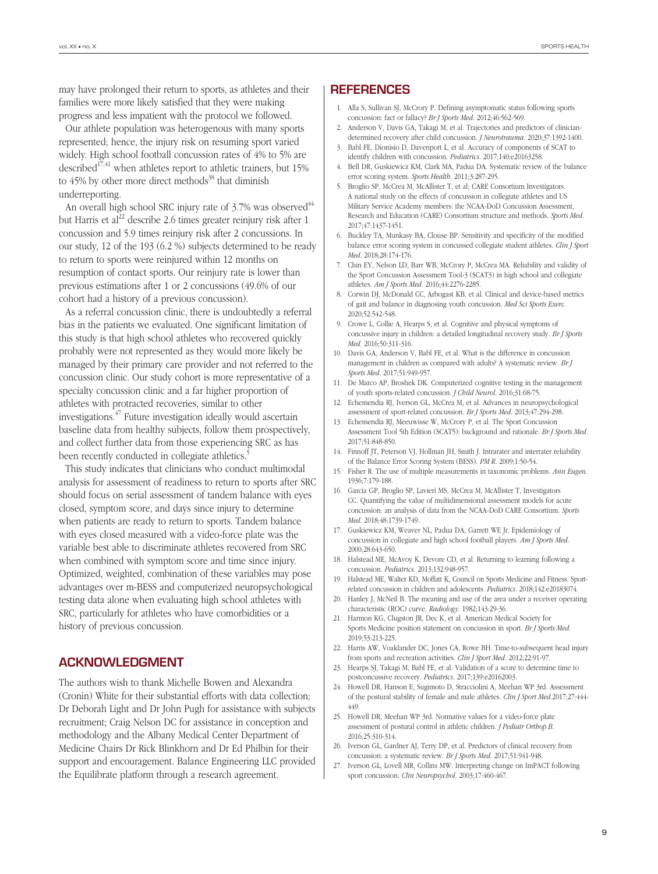may have prolonged their return to sports, as athletes and their families were more likely satisfied that they were making progress and less impatient with the protocol we followed.

Our athlete population was heterogenous with many sports represented; hence, the injury risk on resuming sport varied widely. High school football concussion rates of 4% to 5% are described<sup>17,41</sup> when athletes report to athletic trainers, but 15% to  $45\%$  by other more direct methods<sup>38</sup> that diminish underreporting.

An overall high school SRC injury rate of  $3.7\%$  was observed<sup>44</sup> but Harris et al<sup>22</sup> describe 2.6 times greater reinjury risk after 1 concussion and 5.9 times reinjury risk after 2 concussions. In our study, 12 of the 193 (6.2 %) subjects determined to be ready to return to sports were reinjured within 12 months on resumption of contact sports. Our reinjury rate is lower than previous estimations after 1 or 2 concussions (49.6% of our cohort had a history of a previous concussion).

As a referral concussion clinic, there is undoubtedly a referral bias in the patients we evaluated. One significant limitation of this study is that high school athletes who recovered quickly probably were not represented as they would more likely be managed by their primary care provider and not referred to the concussion clinic. Our study cohort is more representative of a specialty concussion clinic and a far higher proportion of athletes with protracted recoveries, similar to other investigations.47 Future investigation ideally would ascertain baseline data from healthy subjects, follow them prospectively, and collect further data from those experiencing SRC as has been recently conducted in collegiate athletics.<sup>5</sup>

This study indicates that clinicians who conduct multimodal analysis for assessment of readiness to return to sports after SRC should focus on serial assessment of tandem balance with eyes closed, symptom score, and days since injury to determine when patients are ready to return to sports. Tandem balance with eyes closed measured with a video-force plate was the variable best able to discriminate athletes recovered from SRC when combined with symptom score and time since injury. Optimized, weighted, combination of these variables may pose advantages over m-BESS and computerized neuropsychological testing data alone when evaluating high school athletes with SRC, particularly for athletes who have comorbidities or a history of previous concussion.

# **ACKNOWLEDGMENT**

The authors wish to thank Michelle Bowen and Alexandra (Cronin) White for their substantial efforts with data collection; Dr Deborah Light and Dr John Pugh for assistance with subjects recruitment; Craig Nelson DC for assistance in conception and methodology and the Albany Medical Center Department of Medicine Chairs Dr Rick Blinkhorn and Dr Ed Philbin for their support and encouragement. Balance Engineering LLC provided the Equilibrate platform through a research agreement.

## References

- 1. Alla S, Sullivan SJ, McCrory P. Defining asymptomatic status following sports concussion: fact or fallacy? *Br J Sports Med*. 2012;46:562-569.
- 2. Anderson V, Davis GA, Takagi M, et al. Trajectories and predictors of cliniciandetermined recovery after child concussion. *J Neurotrauma*. 2020;37:1392-1400.
- 3. Babl FE, Dionisio D, Davenport L, et al. Accuracy of components of SCAT to identify children with concussion. *Pediatrics*. 2017;140:e20163258.
- 4. Bell DR, Guskiewicz KM, Clark MA, Padua DA. Systematic review of the balance error scoring system. *Sports Health*. 2011;3:287-295.
- 5. Broglio SP, McCrea M, McAllister T, et al; CARE Consortium Investigators. A national study on the effects of concussion in collegiate athletes and US Military Service Academy members: the NCAA-DoD Concussion Assessment, Research and Education (CARE) Consortium structure and methods. *Sports Med*. 2017;47:1437-1451.
- 6. Buckley TA, Munkasy BA, Clouse BP. Sensitivity and specificity of the modified balance error scoring system in concussed collegiate student athletes. *Clin J Sport Med*. 2018;28:174-176.
- 7. Chin EY, Nelson LD, Barr WB, McCrory P, McCrea MA. Reliability and validity of the Sport Concussion Assessment Tool-3 (SCAT3) in high school and collegiate athletes. *Am J Sports Med*. 2016;44:2276-2285.
- 8. Corwin DJ, McDonald CC, Arbogast KB, et al. Clinical and device-based metrics of gait and balance in diagnosing youth concussion. *Med Sci Sports Exerc*. 2020;52:542-548.
- 9. Crowe L, Collie A, Hearps S, et al. Cognitive and physical symptoms of concussive injury in children: a detailed longitudinal recovery study. *Br J Sports Med*. 2016;50:311-316.
- 10. Davis GA, Anderson V, Babl FE, et al. What is the difference in concussion management in children as compared with adults? A systematic review. *Br J Sports Med*. 2017;51:949-957.
- 11. De Marco AP, Broshek DK. Computerized cognitive testing in the management of youth sports-related concussion. *J Child Neurol*. 2016;31:68-75.
- 12. Echemendia RJ, Iverson GL, McCrea M, et al. Advances in neuropsychological assessment of sport-related concussion. *Br J Sports Med*. 2013;47:294-298.
- 13. Echemendia RJ, Meeuwisse W, McCrory P, et al. The Sport Concussion Assessment Tool 5th Edition (SCAT5): background and rationale. *Br J Sports Med*. 2017;51:848-850.
- 14. Finnoff JT, Peterson VJ, Hollman JH, Smith J. Intrarater and interrater reliability of the Balance Error Scoring System (BESS). *PM R*. 2009;1:50-54.
- 15. Fisher R. The use of multiple measurements in taxonomic problems. *Ann Eugen*. 1936;7:179-188.
- 16. Garcia GP, Broglio SP, Lavieri MS, McCrea M, McAllister T, Investigators CC. Quantifying the value of multidimensional assessment models for acute concussion: an analysis of data from the NCAA-DoD CARE Consortium. *Sports Med*. 2018;48:1739-1749.
- 17. Guskiewicz KM, Weaver NL, Padua DA, Garrett WE Jr. Epidemiology of concussion in collegiate and high school football players. *Am J Sports Med*. 2000;28:643-650.
- 18. Halstead ME, McAvoy K, Devore CD, et al. Returning to learning following a concussion. *Pediatrics*. 2013;132:948-957.
- 19. Halstead ME, Walter KD, Moffatt K, Council on Sports Medicine and Fitness. Sportrelated concussion in children and adolescents. *Pediatrics*. 2018;142:e20183074.
- 20. Hanley J, McNeil B. The meaning and use of the area under a receiver operating characteristic (ROC) curve. *Radiology*. 1982;143:29-36.
- 21. Harmon KG, Clugston JR, Dec K, et al. American Medical Society for Sports Medicine position statement on concussion in sport. *Br J Sports Med*. 2019;53:213-225.
- 22. Harris AW, Voaklander DC, Jones CA, Rowe BH. Time-to-subsequent head injury from sports and recreation activities. *Clin J Sport Med*. 2012;22:91-97.
- 23. Hearps SJ, Takagi M, Babl FE, et al. Validation of a score to determine time to postconcussive recovery. *Pediatrics*. 2017;139:e20162003.
- 24. Howell DR, Hanson E, Sugimoto D, Stracciolini A, Meehan WP 3rd. Assessment of the postural stability of female and male athletes. *Clin J Sport Med*.2017;27:444- 449.
- 25. Howell DR, Meehan WP 3rd. Normative values for a video-force plate assessment of postural control in athletic children. *J Pediatr Orthop B*. 2016;25:310-314.
- 26. Iverson GL, Gardner AJ, Terry DP, et al. Predictors of clinical recovery from concussion: a systematic review. *Br J Sports Med*. 2017;51:941-948.
- 27. Iverson GL, Lovell MR, Collins MW. Interpreting change on ImPACT following sport concussion. *Clin Neuropsychol.* 2003;17:460-467.